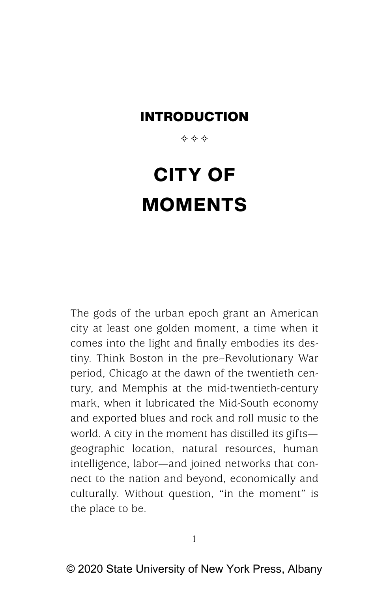\*\*\*

# **CITY OF MOMENTS**

The gods of the urban epoch grant an American city at least one golden moment, a time when it comes into the light and finally embodies its destiny. Think Boston in the pre–Revolutionary War period, Chicago at the dawn of the twentieth century, and Memphis at the mid-twentieth-century mark, when it lubricated the Mid-South economy and exported blues and rock and roll music to the world. A city in the moment has distilled its gifts geographic location, natural resources, human intelligence, labor—and joined networks that connect to the nation and beyond, economically and culturally. Without question, "in the moment" is the place to be.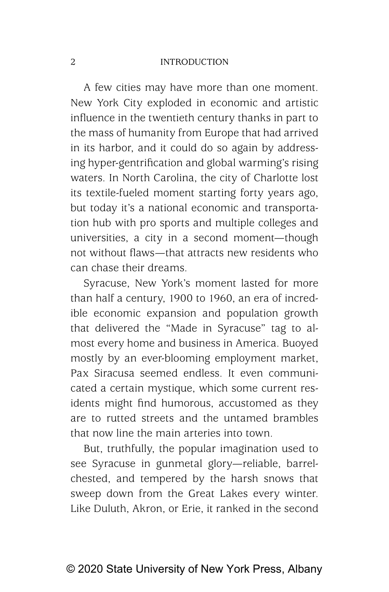A few cities may have more than one moment. New York City exploded in economic and artistic influence in the twentieth century thanks in part to the mass of humanity from Europe that had arrived in its harbor, and it could do so again by addressing hyper- gentrification and global warming's rising waters. In North Carolina, the city of Charlotte lost its textile-fueled moment starting forty years ago, but today it's a national economic and transportation hub with pro sports and multiple colleges and universities, a city in a second moment—though not without flaws—that attracts new residents who can chase their dreams.

Syracuse, New York's moment lasted for more than half a century, 1900 to 1960, an era of incredible economic expansion and population growth that delivered the "Made in Syracuse" tag to almost every home and business in America. Buoyed mostly by an ever-blooming employment market, Pax Siracusa seemed endless. It even communicated a certain mystique, which some current residents might find humorous, accustomed as they are to rutted streets and the untamed brambles that now line the main arteries into town.

But, truthfully, the popular imagination used to see Syracuse in gunmetal glory—reliable, barrelchested, and tempered by the harsh snows that sweep down from the Great Lakes every winter. Like Duluth, Akron, or Erie, it ranked in the second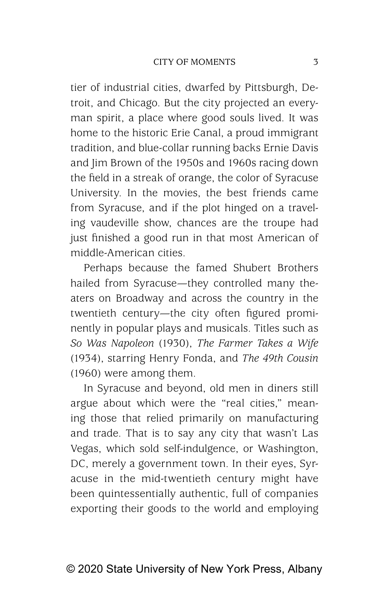tier of industrial cities, dwarfed by Pittsburgh, Detroit, and Chicago. But the city projected an everyman spirit, a place where good souls lived. It was home to the historic Erie Canal, a proud immigrant tradition, and blue-collar running backs Ernie Davis and Jim Brown of the 1950s and 1960s racing down the field in a streak of orange, the color of Syracuse University. In the movies, the best friends came from Syracuse, and if the plot hinged on a traveling vaudeville show, chances are the troupe had just finished a good run in that most American of middle- American cities.

Perhaps because the famed Shubert Brothers hailed from Syracuse—they controlled many theaters on Broadway and across the country in the twentieth century—the city often figured prominently in popular plays and musicals. Titles such as *So Was Napoleon* (1930), *The Farmer Takes a Wife* (1934), starring Henry Fonda, and *The 49th Cousin* (1960) were among them.

In Syracuse and beyond, old men in diners still argue about which were the "real cities," meaning those that relied primarily on manufacturing and trade. That is to say any city that wasn't Las Vegas, which sold self-indulgence, or Washington, DC, merely a government town. In their eyes, Syracuse in the mid-twentieth century might have been quintessentially authentic, full of companies exporting their goods to the world and employing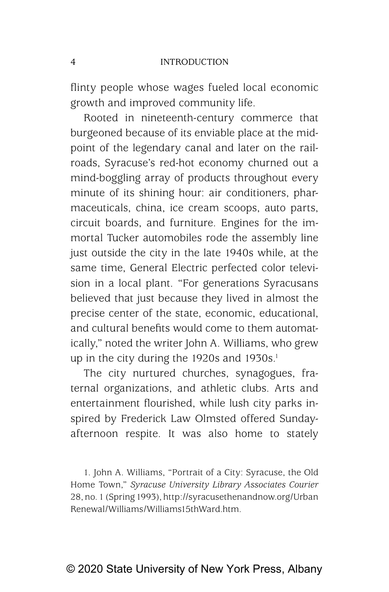flinty people whose wages fueled local economic growth and improved community life.

Rooted in nineteenth-century commerce that burgeoned because of its enviable place at the midpoint of the legendary canal and later on the railroads, Syracuse's red-hot economy churned out a mind-boggling array of products throughout every minute of its shining hour: air conditioners, pharmaceuticals, china, ice cream scoops, auto parts, circuit boards, and furniture. Engines for the immortal Tucker automobiles rode the assembly line just outside the city in the late 1940s while, at the same time, General Electric perfected color television in a local plant. "For generations Syracusans believed that just because they lived in almost the precise center of the state, economic, educational, and cultural benefits would come to them automatically," noted the writer John A. Williams, who grew up in the city during the 1920s and 1930s.<sup>1</sup>

The city nurtured churches, synagogues, fraternal organizations, and athletic clubs. Arts and entertainment flourished, while lush city parks inspired by Frederick Law Olmsted offered Sundayafternoon respite. It was also home to stately

1. John A. Williams, "Portrait of a City: Syracuse, the Old Home Town," *Syracuse University Library Associates Courier* 28, no. 1 (Spring 1993), http://syracusethenandnow.org/Urban Renewal /Williams /Williams15thWard .htm.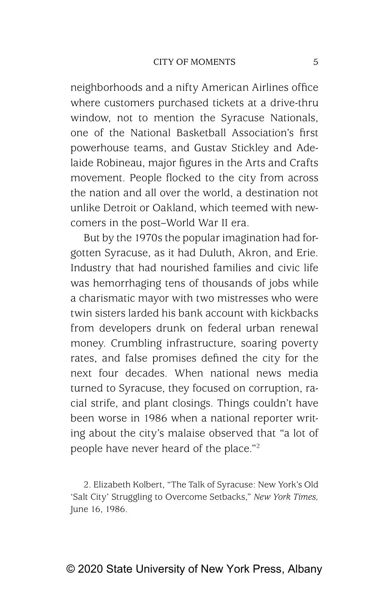neighborhoods and a nifty American Airlines office where customers purchased tickets at a drive-thru window, not to mention the Syracuse Nationals, one of the National Basketball Association's first powerhouse teams, and Gustav Stickley and Adelaide Robineau, major figures in the Arts and Crafts movement. People flocked to the city from across the nation and all over the world, a destination not unlike Detroit or Oakland, which teemed with newcomers in the post–World War II era.

But by the 1970s the popular imagination had forgotten Syracuse, as it had Duluth, Akron, and Erie. Industry that had nourished families and civic life was hemorrhaging tens of thousands of jobs while a charismatic mayor with two mistresses who were twin sisters larded his bank account with kickbacks from developers drunk on federal urban renewal money. Crumbling infrastructure, soaring poverty rates, and false promises defined the city for the next four decades. When national news media turned to Syracuse, they focused on corruption, racial strife, and plant closings. Things couldn't have been worse in 1986 when a national reporter writing about the city's malaise observed that "a lot of people have never heard of the place."2

2. Elizabeth Kolbert, "The Talk of Syracuse: New York's Old 'Salt City' Struggling to Overcome Setbacks," *New York Times,* June 16, 1986.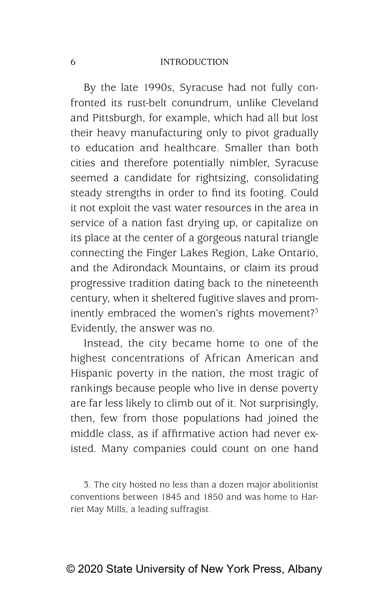By the late 1990s, Syracuse had not fully confronted its rust-belt conundrum, unlike Cleveland and Pittsburgh, for example, which had all but lost their heavy manufacturing only to pivot gradually to education and healthcare. Smaller than both cities and therefore potentially nimbler, Syracuse seemed a candidate for rightsizing, consolidating steady strengths in order to find its footing. Could it not exploit the vast water resources in the area in service of a nation fast drying up, or capitalize on its place at the center of a gorgeous natural triangle connecting the Finger Lakes Region, Lake Ontario, and the Adirondack Mountains, or claim its proud progressive tradition dating back to the nineteenth century, when it sheltered fugitive slaves and prominently embraced the women's rights movement?<sup>3</sup> Evidently, the answer was no.

Instead, the city became home to one of the highest concentrations of African American and Hispanic poverty in the nation, the most tragic of rankings because people who live in dense poverty are far less likely to climb out of it. Not surprisingly, then, few from those populations had joined the middle class, as if affirmative action had never existed. Many companies could count on one hand

3. The city hosted no less than a dozen major abolitionist conventions between 1845 and 1850 and was home to Harriet May Mills, a leading suffragist.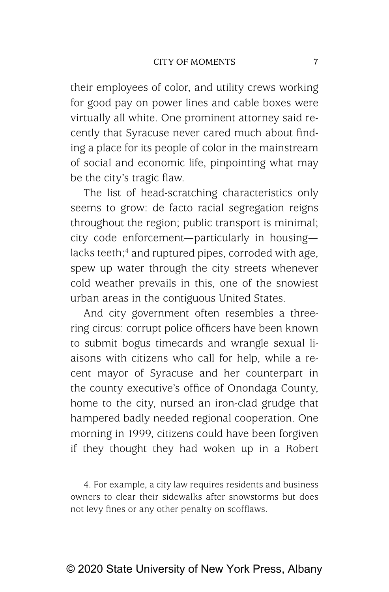their employees of color, and utility crews working for good pay on power lines and cable boxes were virtually all white. One prominent attorney said recently that Syracuse never cared much about finding a place for its people of color in the mainstream of social and economic life, pinpointing what may be the city's tragic flaw.

The list of head-scratching characteristics only seems to grow: de facto racial segregation reigns throughout the region; public transport is minimal; city code enforcement—particularly in housing lacks teeth;<sup>4</sup> and ruptured pipes, corroded with age, spew up water through the city streets whenever cold weather prevails in this, one of the snowiest urban areas in the contiguous United States.

And city government often resembles a threering circus: corrupt police officers have been known to submit bogus timecards and wrangle sexual liaisons with citizens who call for help, while a recent mayor of Syracuse and her counterpart in the county executive's office of Onondaga County, home to the city, nursed an iron-clad grudge that hampered badly needed regional cooperation. One morning in 1999, citizens could have been forgiven if they thought they had woken up in a Robert

4. For example, a city law requires residents and business owners to clear their sidewalks after snowstorms but does not levy fines or any other penalty on scofflaws.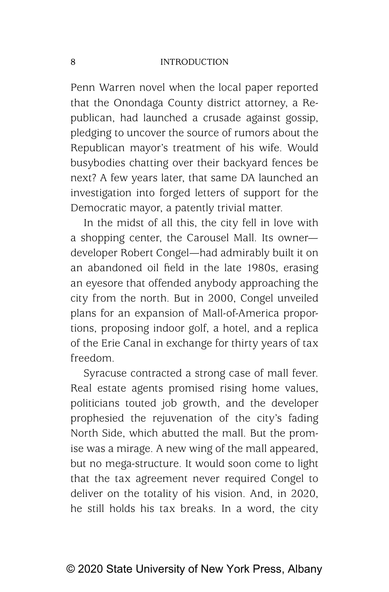Penn Warren novel when the local paper reported that the Onondaga County district attorney, a Republican, had launched a crusade against gossip, pledging to uncover the source of rumors about the Republican mayor's treatment of his wife. Would busybodies chatting over their backyard fences be next? A few years later, that same DA launched an investigation into forged letters of support for the Democratic mayor, a patently trivial matter.

In the midst of all this, the city fell in love with a shopping center, the Carousel Mall. Its owner developer Robert Congel—had admirably built it on an abandoned oil field in the late 1980s, erasing an eyesore that offended anybody approaching the city from the north. But in 2000, Congel unveiled plans for an expansion of Mall-of-America proportions, proposing indoor golf, a hotel, and a replica of the Erie Canal in exchange for thirty years of tax freedom.

Syracuse contracted a strong case of mall fever. Real estate agents promised rising home values, politicians touted job growth, and the developer prophesied the rejuvenation of the city's fading North Side, which abutted the mall. But the promise was a mirage. A new wing of the mall appeared, but no mega-structure. It would soon come to light that the tax agreement never required Congel to deliver on the totality of his vision. And, in 2020, he still holds his tax breaks. In a word, the city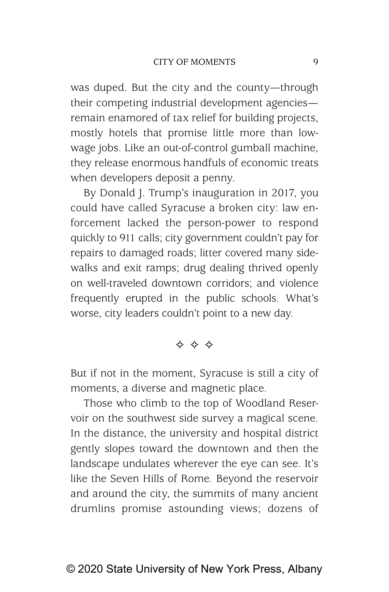was duped. But the city and the county—through their competing industrial development agencies remain enamored of tax relief for building projects, mostly hotels that promise little more than lowwage jobs. Like an out-of-control gumball machine, they release enormous handfuls of economic treats when developers deposit a penny.

By Donald J. Trump's inauguration in 2017, you could have called Syracuse a broken city: law enforcement lacked the person-power to respond quickly to 911 calls; city government couldn't pay for repairs to damaged roads; litter covered many sidewalks and exit ramps; drug dealing thrived openly on well-traveled downtown corridors; and violence frequently erupted in the public schools. What's worse, city leaders couldn't point to a new day.

\* \* \*

But if not in the moment, Syracuse is still a city of moments, a diverse and magnetic place.

Those who climb to the top of Woodland Reservoir on the southwest side survey a magical scene. In the distance, the university and hospital district gently slopes toward the downtown and then the landscape undulates wherever the eye can see. It's like the Seven Hills of Rome. Beyond the reservoir and around the city, the summits of many ancient drumlins promise astounding views; dozens of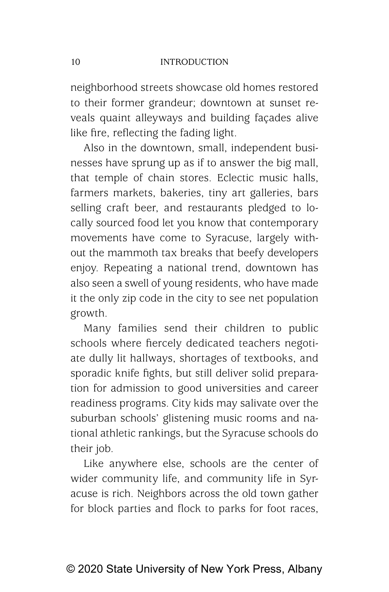neighborhood streets showcase old homes restored to their former grandeur; downtown at sunset reveals quaint alleyways and building façades alive like fire, reflecting the fading light.

Also in the downtown, small, independent businesses have sprung up as if to answer the big mall, that temple of chain stores. Eclectic music halls, farmers markets, bakeries, tiny art galleries, bars selling craft beer, and restaurants pledged to locally sourced food let you know that contemporary movements have come to Syracuse, largely without the mammoth tax breaks that beefy developers enjoy. Repeating a national trend, downtown has also seen a swell of young residents, who have made it the only zip code in the city to see net population growth.

Many families send their children to public schools where fiercely dedicated teachers negotiate dully lit hallways, shortages of textbooks, and sporadic knife fights, but still deliver solid preparation for admission to good universities and career readiness programs. City kids may salivate over the suburban schools' glistening music rooms and national athletic rankings, but the Syracuse schools do their job.

Like anywhere else, schools are the center of wider community life, and community life in Syracuse is rich. Neighbors across the old town gather for block parties and flock to parks for foot races,

© 2020 State University of New York Press, Albany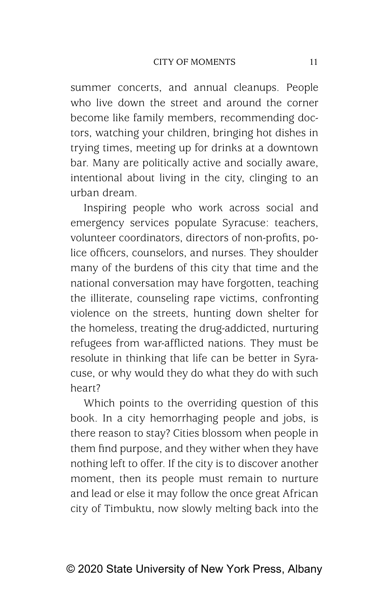summer concerts, and annual cleanups. People who live down the street and around the corner become like family members, recommending doctors, watching your children, bringing hot dishes in trying times, meeting up for drinks at a downtown bar. Many are politically active and socially aware, intentional about living in the city, clinging to an urban dream.

Inspiring people who work across social and emergency services populate Syracuse: teachers, volunteer coordinators, directors of non-profits, police officers, counselors, and nurses. They shoulder many of the burdens of this city that time and the national conversation may have forgotten, teaching the illiterate, counseling rape victims, confronting violence on the streets, hunting down shelter for the homeless, treating the drug- addicted, nurturing refugees from war-afflicted nations. They must be resolute in thinking that life can be better in Syracuse, or why would they do what they do with such heart?

Which points to the overriding question of this book. In a city hemorrhaging people and jobs, is there reason to stay? Cities blossom when people in them find purpose, and they wither when they have nothing left to offer. If the city is to discover another moment, then its people must remain to nurture and lead or else it may follow the once great African city of Timbuktu, now slowly melting back into the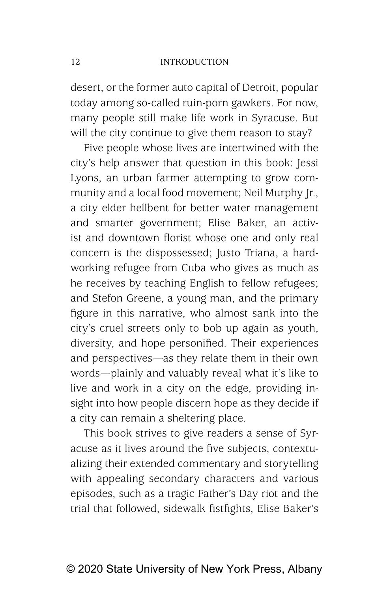desert, or the former auto capital of Detroit, popular today among so-called ruin-porn gawkers. For now, many people still make life work in Syracuse. But will the city continue to give them reason to stay?

Five people whose lives are intertwined with the city's help answer that question in this book: Jessi Lyons, an urban farmer attempting to grow community and a local food movement; Neil Murphy Jr., a city elder hellbent for better water management and smarter government; Elise Baker, an activist and downtown florist whose one and only real concern is the dispossessed; Justo Triana, a hardworking refugee from Cuba who gives as much as he receives by teaching English to fellow refugees; and Stefon Greene, a young man, and the primary figure in this narrative, who almost sank into the city's cruel streets only to bob up again as youth, diversity, and hope personified. Their experiences and perspectives—as they relate them in their own words—plainly and valuably reveal what it's like to live and work in a city on the edge, providing insight into how people discern hope as they decide if a city can remain a sheltering place.

This book strives to give readers a sense of Syracuse as it lives around the five subjects, contextualizing their extended commentary and storytelling with appealing secondary characters and various episodes, such as a tragic Father's Day riot and the trial that followed, sidewalk fistfights, Elise Baker's